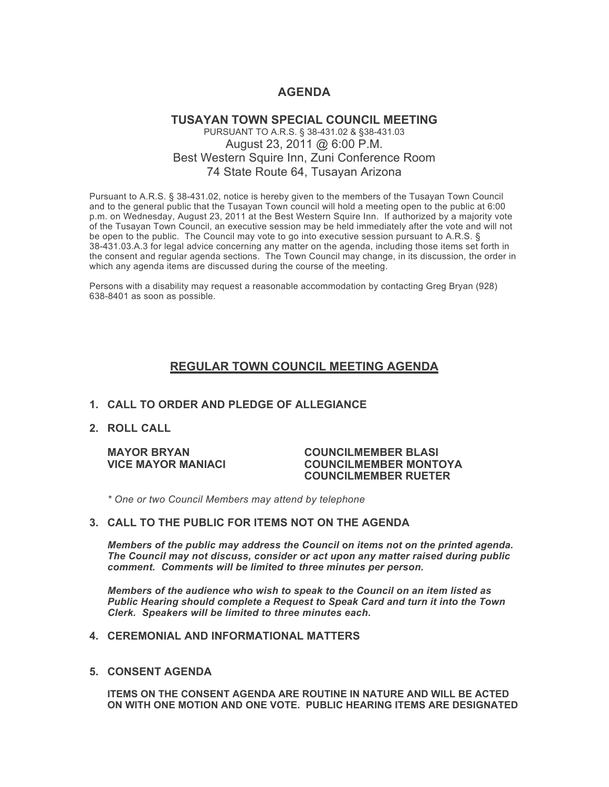# **AGENDA**

# **TUSAYAN TOWN SPECIAL COUNCIL MEETING** PURSUANT TO A.R.S. § 38-431.02 & §38-431.03 August 23, 2011 @ 6:00 P.M. Best Western Squire Inn, Zuni Conference Room 74 State Route 64, Tusayan Arizona

Pursuant to A.R.S. § 38-431.02, notice is hereby given to the members of the Tusayan Town Council and to the general public that the Tusayan Town council will hold a meeting open to the public at 6:00 p.m. on Wednesday, August 23, 2011 at the Best Western Squire Inn. If authorized by a majority vote of the Tusayan Town Council, an executive session may be held immediately after the vote and will not be open to the public. The Council may vote to go into executive session pursuant to A.R.S. § 38-431.03.A.3 for legal advice concerning any matter on the agenda, including those items set forth in the consent and regular agenda sections. The Town Council may change, in its discussion, the order in which any agenda items are discussed during the course of the meeting.

Persons with a disability may request a reasonable accommodation by contacting Greg Bryan (928) 638-8401 as soon as possible.

# **REGULAR TOWN COUNCIL MEETING AGENDA**

# **1. CALL TO ORDER AND PLEDGE OF ALLEGIANCE**

**2. ROLL CALL**

### **MAYOR BRYAN COUNCILMEMBER BLASI VICE MAYOR MANIACI COUNCILMEMBER MONTOYA COUNCILMEMBER RUETER**

*\* One or two Council Members may attend by telephone*

### **3. CALL TO THE PUBLIC FOR ITEMS NOT ON THE AGENDA**

*Members of the public may address the Council* **o***n items not on the printed agenda. The Council may not discuss, consider or act upon any matter raised during public comment. Comments will be limited to three minutes per person.*

*Members of the audience who wish to speak to the Council on an item listed as Public Hearing should complete a Request to Speak Card and turn it into the Town Clerk. Speakers will be limited to three minutes each.*

#### **4. CEREMONIAL AND INFORMATIONAL MATTERS**

**5. CONSENT AGENDA**

**ITEMS ON THE CONSENT AGENDA ARE ROUTINE IN NATURE AND WILL BE ACTED ON WITH ONE MOTION AND ONE VOTE. PUBLIC HEARING ITEMS ARE DESIGNATED**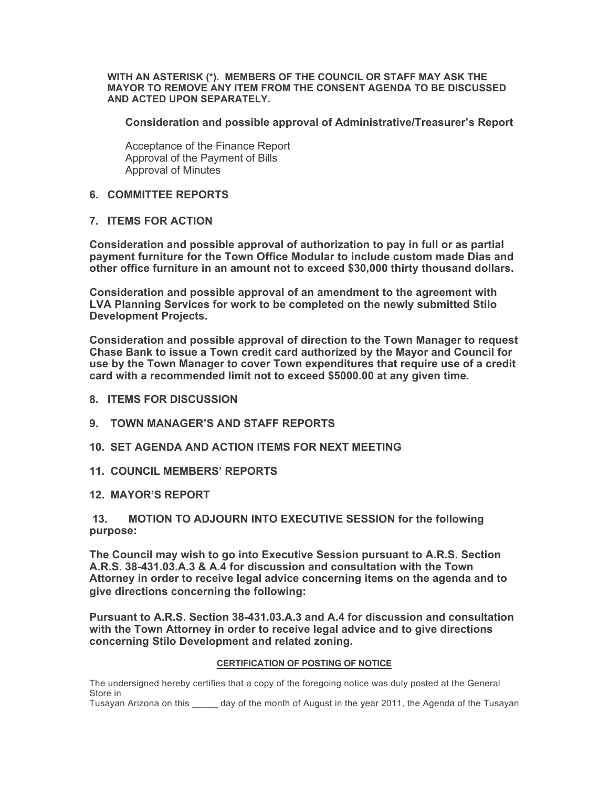**WITH AN ASTERISK (\*). MEMBERS OF THE COUNCIL OR STAFF MAY ASK THE MAYOR TO REMOVE ANY ITEM FROM THE CONSENT AGENDA TO BE DISCUSSED AND ACTED UPON SEPARATELY.**

**Consideration and possible approval of Administrative/Treasurer's Report**

Acceptance of the Finance Report Approval of the Payment of Bills Approval of Minutes

# **6. COMMITTEE REPORTS**

# **7. ITEMS FOR ACTION**

**Consideration and possible approval of authorization to pay in full or as partial payment furniture for the Town Office Modular to include custom made Dias and other office furniture in an amount not to exceed \$30,000 thirty thousand dollars.**

**Consideration and possible approval of an amendment to the agreement with LVA Planning Services for work to be completed on the newly submitted Stilo Development Projects.** 

**Consideration and possible approval of direction to the Town Manager to request Chase Bank to issue a Town credit card authorized by the Mayor and Council for use by the Town Manager to cover Town expenditures that require use of a credit card with a recommended limit not to exceed \$5000.00 at any given time.** 

- **8. ITEMS FOR DISCUSSION**
- **9. TOWN MANAGER'S AND STAFF REPORTS**
- **10. SET AGENDA AND ACTION ITEMS FOR NEXT MEETING**
- **11. COUNCIL MEMBERS' REPORTS**
- **12. MAYOR'S REPORT**

# **13. MOTION TO ADJOURN INTO EXECUTIVE SESSION for the following purpose:**

**The Council may wish to go into Executive Session pursuant to A.R.S. Section A.R.S. 38-431.03.A.3 & A.4 for discussion and consultation with the Town Attorney in order to receive legal advice concerning items on the agenda and to give directions concerning the following:**

**Pursuant to A.R.S. Section 38-431.03.A.3 and A.4 for discussion and consultation with the Town Attorney in order to receive legal advice and to give directions concerning Stilo Development and related zoning.** 

#### **CERTIFICATION OF POSTING OF NOTICE**

The undersigned hereby certifies that a copy of the foregoing notice was duly posted at the General Store in

Tusayan Arizona on this equivalent of the month of August in the year 2011, the Agenda of the Tusayan